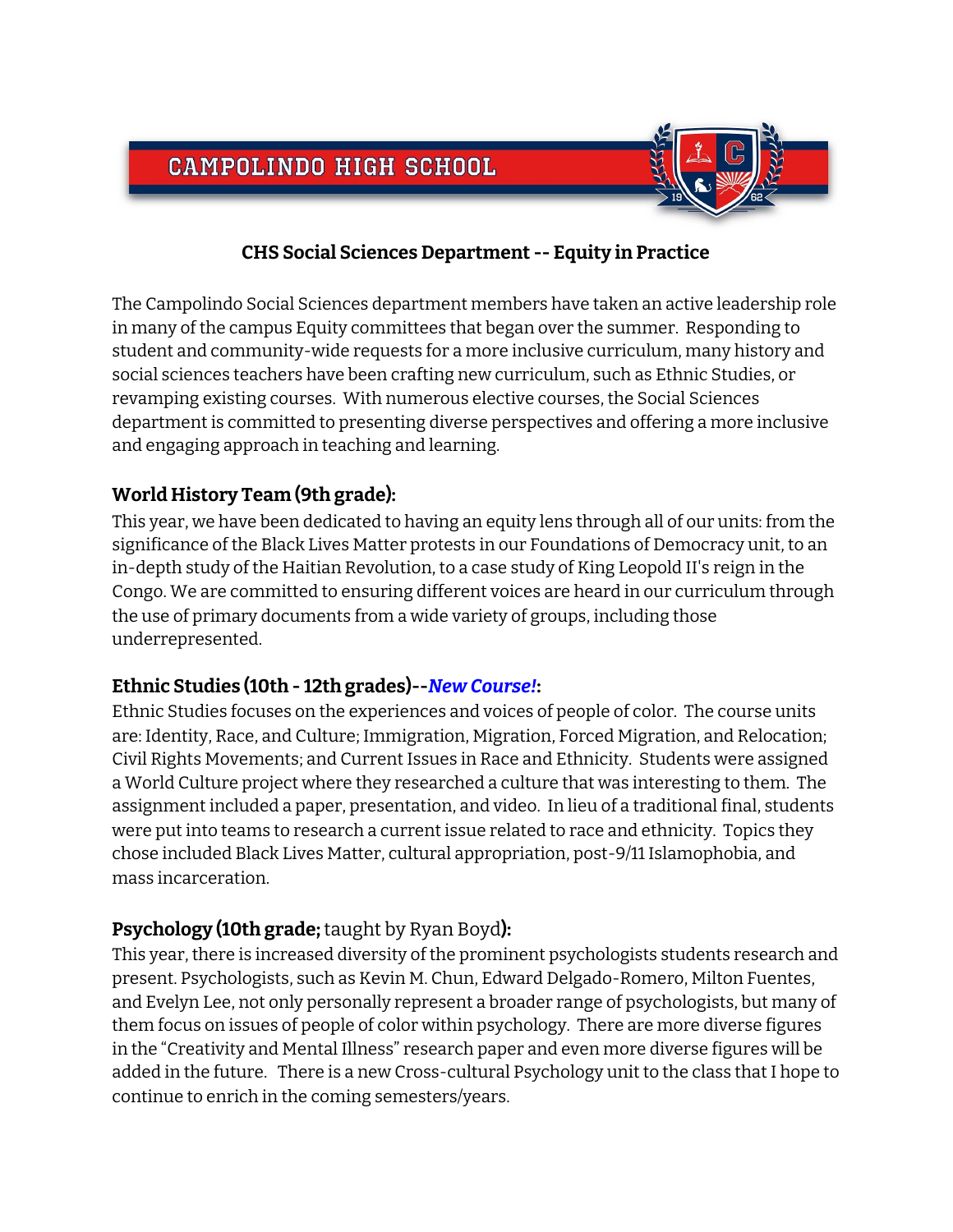# **CAMPOLINDO HIGH SCHOOL**



## **CHS Social Sciences Department -- Equity in Practice**

The Campolindo Social Sciences department members have taken an active leadership role in many of the campus Equity committees that began over the summer. Responding to student and community-wide requests for a more inclusive curriculum, many history and social sciences teachers have been crafting new curriculum, such as Ethnic Studies, or revamping existing courses. With numerous elective courses, the Social Sciences department is committed to presenting diverse perspectives and offering a more inclusive and engaging approach in teaching and learning.

## **World History Team (9th grade):**

This year, we have been dedicated to having an equity lens through all of our units: from the significance of the Black Lives Matter protests in our Foundations of Democracy unit, to an in-depth study of the Haitian Revolution, to a case study of King Leopold II's reign in the Congo. We are committed to ensuring different voices are heard in our curriculum through the use of primary documents from a wide variety of groups, including those underrepresented.

#### **Ethnic Studies (10th - 12th grades)--***New Course!***:**

Ethnic Studies focuses on the experiences and voices of people of color. The course units are: Identity, Race, and Culture; Immigration, Migration, Forced Migration, and Relocation; Civil Rights Movements; and Current Issues in Race and Ethnicity. Students were assigned a World Culture project where they researched a culture that was interesting to them. The assignment included a paper, presentation, and video. In lieu of a traditional final, students were put into teams to research a current issue related to race and ethnicity. Topics they chose included Black Lives Matter, cultural appropriation, post-9/11 Islamophobia, and mass incarceration.

# **Psychology (10th grade;**taught by Ryan Boyd**):**

This year, there is increased diversity of the prominent psychologists students research and present. Psychologists, such as Kevin M. Chun, Edward Delgado-Romero, Milton Fuentes, and Evelyn Lee, not only personally represent a broader range of psychologists, but many of them focus on issues of people of color within psychology. There are more diverse figures in the "Creativity and Mental Illness" research paper and even more diverse figures will be added in the future. There is a new Cross-cultural Psychology unit to the class that I hope to continue to enrich in the coming semesters/years.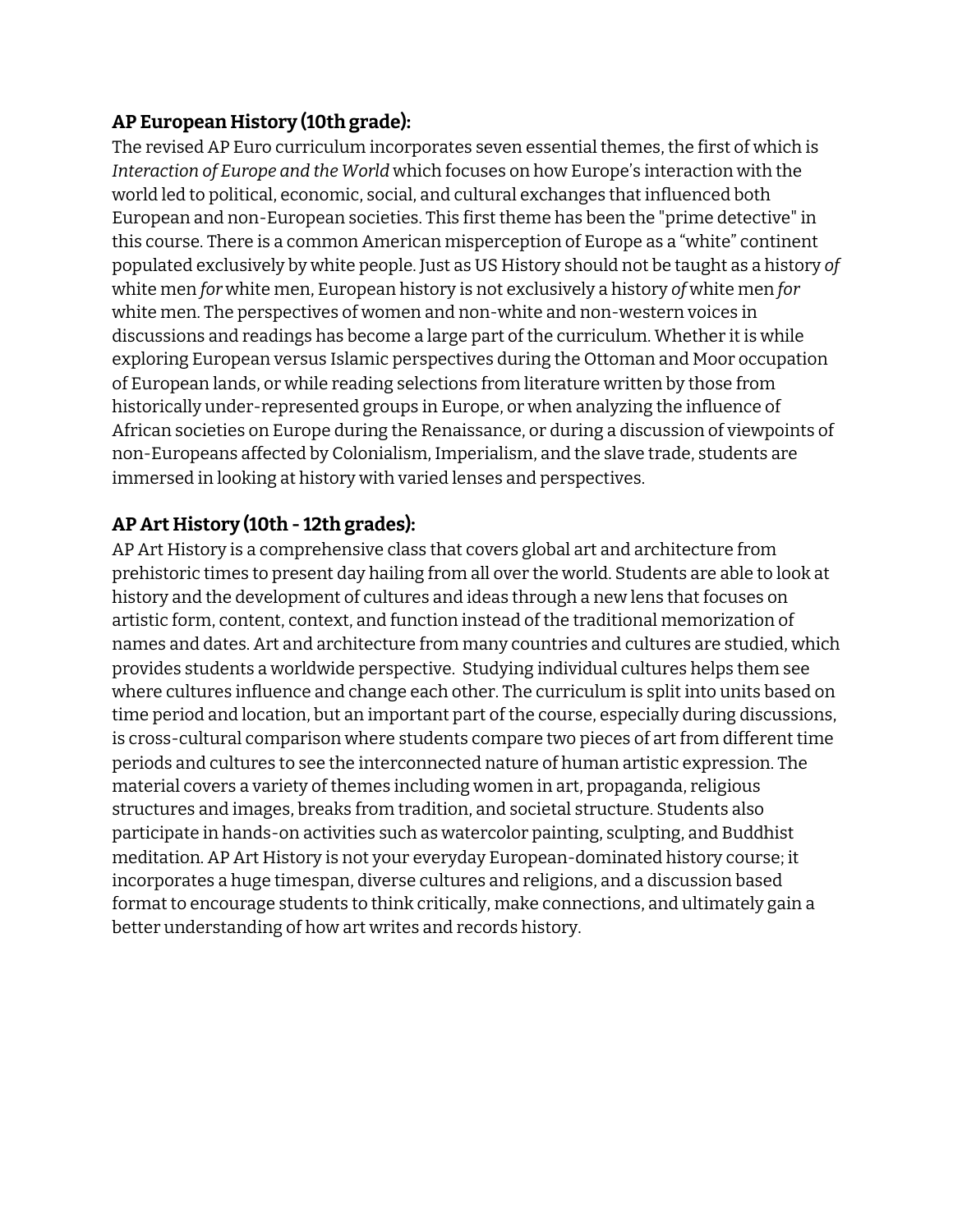## **AP European History (10th grade):**

The revised AP Euro curriculum incorporates seven essential themes, the first of which is *Interaction of Europe and the World* which focuses on how Europe's interaction with the world led to political, economic, social, and cultural exchanges that influenced both European and non-European societies. This first theme has been the "prime detective" in this course. There is a common American misperception of Europe as a "white" continent populated exclusively by white people. Just as US History should not be taught as a history *of* white men *for* white men, European history is not exclusively a history *of* white men *for* white men. The perspectives of women and non-white and non-western voices in discussions and readings has become a large part of the curriculum. Whether it is while exploring European versus Islamic perspectives during the Ottoman and Moor occupation of European lands, or while reading selections from literature written by those from historically under-represented groups in Europe, or when analyzing the influence of African societies on Europe during the Renaissance, or during a discussion of viewpoints of non-Europeans affected by Colonialism, Imperialism, and the slave trade, students are immersed in looking at history with varied lenses and perspectives.

## **AP Art History (10th - 12th grades):**

AP Art History is a comprehensive class that covers global art and architecture from prehistoric times to present day hailing from all over the world. Students are able to look at history and the development of cultures and ideas through a new lens that focuses on artistic form, content, context, and function instead of the traditional memorization of names and dates. Art and architecture from many countries and cultures are studied, which provides students a worldwide perspective. Studying individual cultures helps them see where cultures influence and change each other. The curriculum is split into units based on time period and location, but an important part of the course, especially during discussions, is cross-cultural comparison where students compare two pieces of art from different time periods and cultures to see the interconnected nature of human artistic expression. The material covers a variety of themes including women in art, propaganda, religious structures and images, breaks from tradition, and societal structure. Students also participate in hands-on activities such as watercolor painting, sculpting, and Buddhist meditation. AP Art History is not your everyday European-dominated history course; it incorporates a huge timespan, diverse cultures and religions, and a discussion based format to encourage students to think critically, make connections, and ultimately gain a better understanding of how art writes and records history.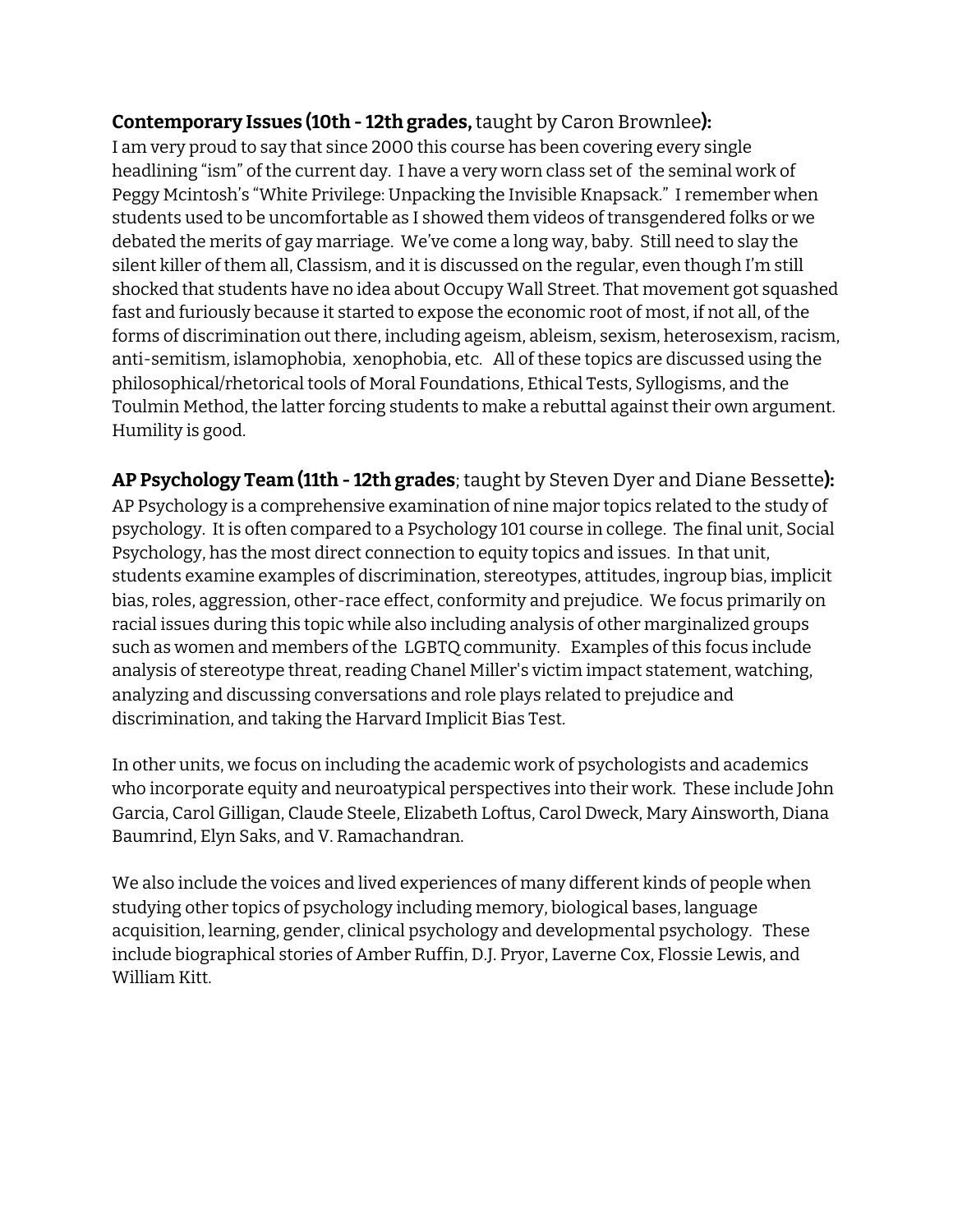#### **Contemporary Issues (10th - 12th grades,**taught by Caron Brownlee**):**

I am very proud to say that since 2000 this course has been covering every single headlining "ism" of the current day. I have a very worn class set of the seminal work of Peggy Mcintosh's "White Privilege: Unpacking the Invisible Knapsack." I remember when students used to be uncomfortable as I showed them videos of transgendered folks or we debated the merits of gay marriage. We've come a long way, baby. Still need to slay the silent killer of them all, Classism, and it is discussed on the regular, even though I'm still shocked that students have no idea about Occupy Wall Street. That movement got squashed fast and furiously because it started to expose the economic root of most, if not all, of the forms of discrimination out there, including ageism, ableism, sexism, heterosexism, racism, anti-semitism, islamophobia, xenophobia, etc. All of these topics are discussed using the philosophical/rhetorical tools of Moral Foundations, Ethical Tests, Syllogisms, and the Toulmin Method, the latter forcing students to make a rebuttal against their own argument. Humility is good.

**AP Psychology Team (11th - 12th grades**; taught by Steven Dyer and Diane Bessette**):** AP Psychology is a comprehensive examination of nine major topics related to the study of psychology. It is often compared to a Psychology 101 course in college. The final unit, Social Psychology, has the most direct connection to equity topics and issues. In that unit, students examine examples of discrimination, stereotypes, attitudes, ingroup bias, implicit bias, roles, aggression, other-race effect, conformity and prejudice. We focus primarily on racial issues during this topic while also including analysis of other marginalized groups such as women and members of the LGBTQ community. Examples of this focus include analysis of stereotype threat, reading Chanel Miller's victim impact statement, watching, analyzing and discussing conversations and role plays related to prejudice and discrimination, and taking the Harvard Implicit Bias Test.

In other units, we focus on including the academic work of psychologists and academics who incorporate equity and neuroatypical perspectives into their work. These include John Garcia, Carol Gilligan, Claude Steele, Elizabeth Loftus, Carol Dweck, Mary Ainsworth, Diana Baumrind, Elyn Saks, and V. Ramachandran.

We also include the voices and lived experiences of many different kinds of people when studying other topics of psychology including memory, biological bases, language acquisition, learning, gender, clinical psychology and developmental psychology. These include biographical stories of Amber Ruffin, D.J. Pryor, Laverne Cox, Flossie Lewis, and William Kitt.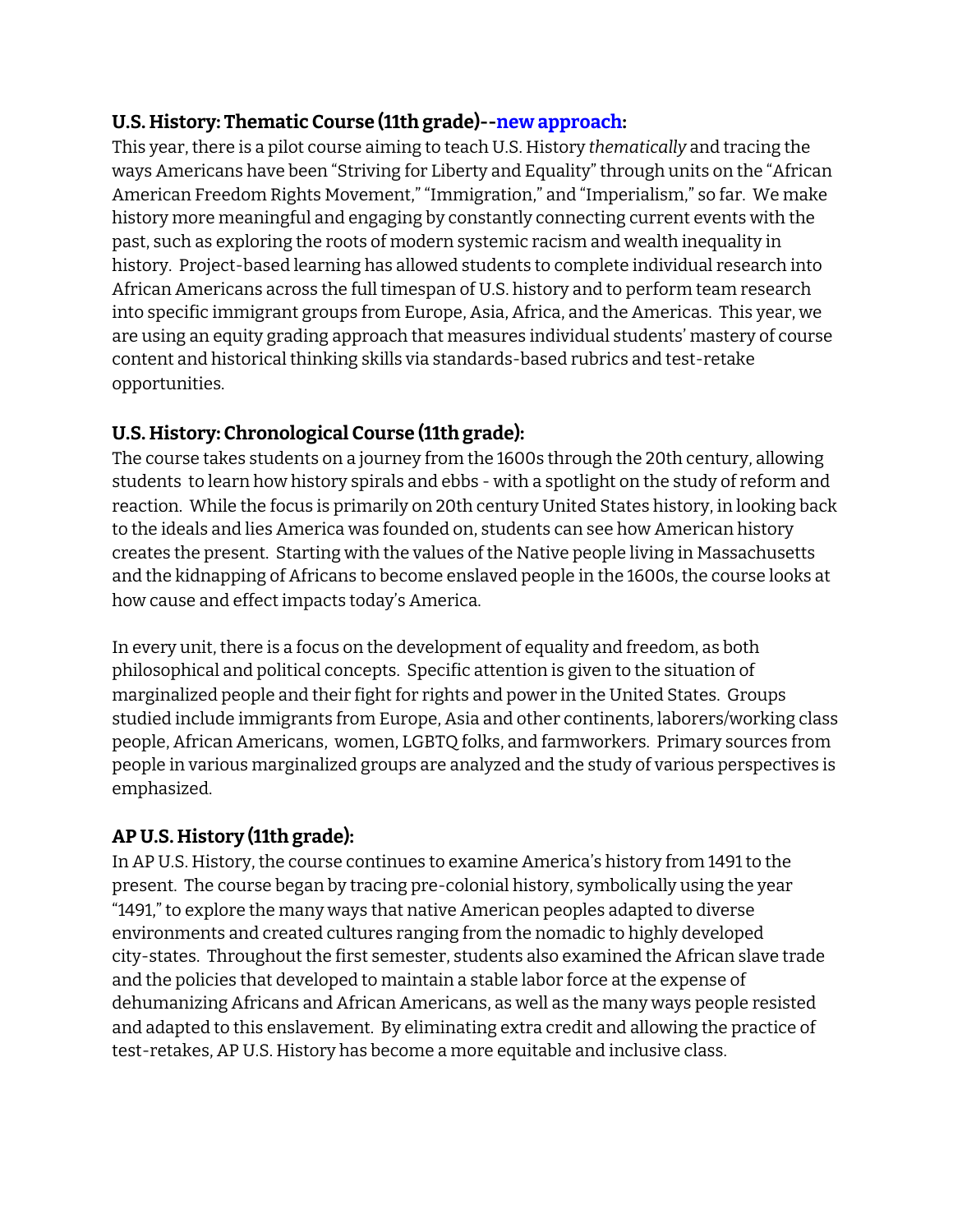#### **U.S. History: Thematic Course (11th grade)--new approach:**

This year, there is a pilot course aiming to teach U.S. History *thematically* and tracing the ways Americans have been "Striving for Liberty and Equality" through units on the "African American Freedom Rights Movement," "Immigration," and "Imperialism," so far. We make history more meaningful and engaging by constantly connecting current events with the past, such as exploring the roots of modern systemic racism and wealth inequality in history. Project-based learning has allowed students to complete individual research into African Americans across the full timespan of U.S. history and to perform team research into specific immigrant groups from Europe, Asia, Africa, and the Americas. This year, we are using an equity grading approach that measures individual students' mastery of course content and historical thinking skills via standards-based rubrics and test-retake opportunities.

## **U.S. History: Chronological Course (11th grade):**

The course takes students on a journey from the 1600s through the 20th century, allowing students to learn how history spirals and ebbs - with a spotlight on the study of reform and reaction. While the focus is primarily on 20th century United States history, in looking back to the ideals and lies America was founded on, students can see how American history creates the present. Starting with the values of the Native people living in Massachusetts and the kidnapping of Africans to become enslaved people in the 1600s, the course looks at how cause and effect impacts today's America.

In every unit, there is a focus on the development of equality and freedom, as both philosophical and political concepts. Specific attention is given to the situation of marginalized people and their fight for rights and power in the United States. Groups studied include immigrants from Europe, Asia and other continents, laborers/working class people, African Americans, women, LGBTQ folks, and farmworkers. Primary sources from people in various marginalized groups are analyzed and the study of various perspectives is emphasized.

# **AP U.S. History (11th grade):**

In AP U.S. History, the course continues to examine America's history from 1491 to the present. The course began by tracing pre-colonial history, symbolically using the year "1491," to explore the many ways that native American peoples adapted to diverse environments and created cultures ranging from the nomadic to highly developed city-states. Throughout the first semester, students also examined the African slave trade and the policies that developed to maintain a stable labor force at the expense of dehumanizing Africans and African Americans, as well as the many ways people resisted and adapted to this enslavement. By eliminating extra credit and allowing the practice of test-retakes, AP U.S. History has become a more equitable and inclusive class.